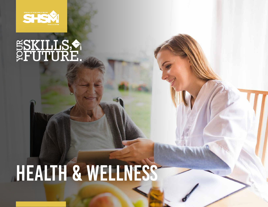

# **SSKILLS,**

## HEALTH & WELLNESS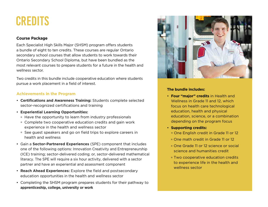### **CREDITS**

#### **Course Package**

Each Specialist High Skills Major (SHSM) program offers students a bundle of eight to ten credits. These courses are regular Ontario secondary school courses that allow students to work towards their Ontario Secondary School Diploma, but have been bundled as the most relevant courses to prepare students for a future in the health and wellness sector.

Two credits in this bundle include cooperative education where students pursue a work placement in a field of interest.

#### **Achievements in the Program**

- **Certifications and Awareness Training:** Students complete selected sector-recognized certifications and training
- **Experiential Learning Opportunities:**
	- Have the opportunity to learn from industry professionals
	- Complete two cooperative education credits and gain work experience in the health and wellness sector
	- See guest speakers and go on field trips to explore careers in health and wellness
- Gain a **Sector-Partnered Experiences** (SPE) component that includes one of the following options: Innovation Creativity and Entrepreneurship (ICE) training; sector-delivered coding; or, sector-delivered mathematical literacy. The SPE will require a six hour activity, delivered with a sector partner and have an experiential and assessment component
- **Reach Ahead Experiences:** Explore the field and postsecondary education opportunities in the health and wellness sector
- Completing the SHSM program prepares students for their pathway to **apprenticeship, college, university or work**



#### **The bundle includes:**

- **Four "major" credits** in Health and Wellness in Grade 11 and 12, which focus on health care technological education, health and physical education, science, or a combination depending on the program focus
- **Supporting credits:**
	- One English credit in Grade 11 or 12
	- One math credit in Grade 11 or 12
	- One Grade 11 or 12 science or social science and humanities credit
	- Two cooperative education credits to experience life in the health and wellness sector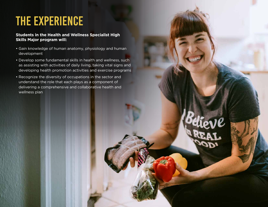## The Experience

#### **Students in the Health and Wellness Specialist High Skills Major program will:**

- Gain knowledge of human anatomy, physiology and human development
- Develop some fundamental skills in health and wellness, such as assisting with activities of daily living, taking vital signs and developing health promotion activities and exercise programs
- Recognize the diversity of occupations in the sector and understand the role that each plays as a component of delivering a comprehensive and collaborative health and wellness plan